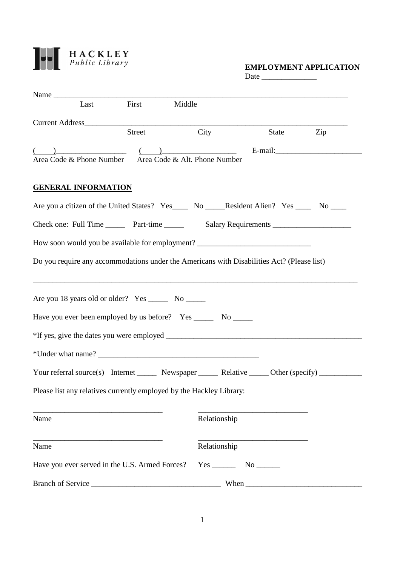

## Date \_\_\_\_\_\_\_\_\_\_\_\_\_\_

| Name                                                                                                |            |              |                                                                          |     |
|-----------------------------------------------------------------------------------------------------|------------|--------------|--------------------------------------------------------------------------|-----|
|                                                                                                     | Last First | Middle       |                                                                          |     |
|                                                                                                     |            |              |                                                                          |     |
|                                                                                                     | Street     | City         | State                                                                    | Zip |
| $\begin{array}{c} \begin{array}{c} \begin{array}{c} \end{array} \end{array}$                        |            |              |                                                                          |     |
| Area Code & Phone Number Area Code & Alt. Phone Number                                              |            |              |                                                                          |     |
|                                                                                                     |            |              |                                                                          |     |
| <b>GENERAL INFORMATION</b>                                                                          |            |              |                                                                          |     |
| Are you a citizen of the United States? Yes_______ No ______Resident Alien? Yes _______ No ______   |            |              |                                                                          |     |
|                                                                                                     |            |              |                                                                          |     |
|                                                                                                     |            |              |                                                                          |     |
| How soon would you be available for employment? _________________________________                   |            |              |                                                                          |     |
| Do you require any accommodations under the Americans with Disabilities Act? (Please list)          |            |              |                                                                          |     |
|                                                                                                     |            |              |                                                                          |     |
| Are you 18 years old or older? Yes ________ No _______                                              |            |              |                                                                          |     |
|                                                                                                     |            |              |                                                                          |     |
| Have you ever been employed by us before? Yes ________ No ______                                    |            |              |                                                                          |     |
|                                                                                                     |            |              |                                                                          |     |
|                                                                                                     |            |              |                                                                          |     |
|                                                                                                     |            |              |                                                                          |     |
| Your referral source(s) Internet _______ Newspaper ______ Relative ______ Other (specify) _________ |            |              |                                                                          |     |
| Please list any relatives currently employed by the Hackley Library:                                |            |              |                                                                          |     |
|                                                                                                     |            |              |                                                                          |     |
| Name                                                                                                |            | Relationship |                                                                          |     |
|                                                                                                     |            |              |                                                                          |     |
| Name                                                                                                |            | Relationship |                                                                          |     |
| Have you ever served in the U.S. Armed Forces?                                                      |            |              | $Yes$ No $No$                                                            |     |
| Branch of Service                                                                                   |            |              | When $\frac{1}{\sqrt{1-\frac{1}{2}}\cdot\frac{1}{\sqrt{1-\frac{1}{2}}}}$ |     |
|                                                                                                     |            |              |                                                                          |     |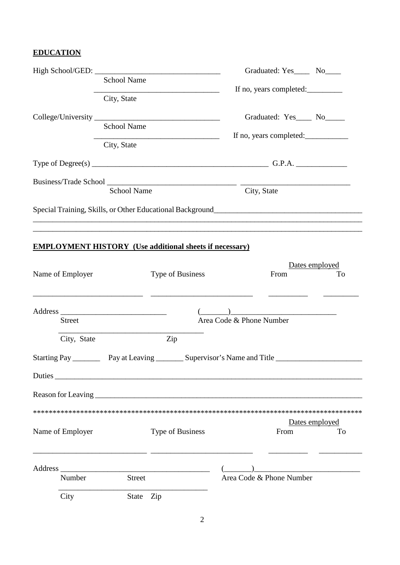## **EDUCATION**

| <b>School Name</b><br>City, State<br><b>School Name</b> |                    | Graduated: Yes________ No_____<br>If no, years completed:<br>Graduated: Yes____ No____<br>If no, years completed: |                                                                                                      |                                                          |
|---------------------------------------------------------|--------------------|-------------------------------------------------------------------------------------------------------------------|------------------------------------------------------------------------------------------------------|----------------------------------------------------------|
|                                                         | City, State        |                                                                                                                   |                                                                                                      |                                                          |
|                                                         | <b>School Name</b> |                                                                                                                   | City, State                                                                                          |                                                          |
|                                                         |                    |                                                                                                                   | ,我们也不能在这里的人,我们也不能在这里的人,我们也不能在这里的人,我们也不能在这里的人,我们也不能在这里的人,我们也不能在这里的人,我们也不能在这里的人,我们                     |                                                          |
| Name of Employer                                        |                    | <b>EMPLOYMENT HISTORY</b> (Use additional sheets if necessary)<br>Type of Business                                | From                                                                                                 | Dates employed<br>To                                     |
| <b>Street</b>                                           |                    |                                                                                                                   | Area Code & Phone Number                                                                             |                                                          |
| City, State                                             |                    | Zip                                                                                                               |                                                                                                      |                                                          |
|                                                         |                    |                                                                                                                   | Starting Pay _____________ Pay at Leaving __________ Supervisor's Name and Title ___________________ |                                                          |
|                                                         |                    | Duties                                                                                                            |                                                                                                      |                                                          |
|                                                         |                    |                                                                                                                   |                                                                                                      |                                                          |
|                                                         |                    |                                                                                                                   |                                                                                                      |                                                          |
| Name of Employer                                        |                    | Type of Business                                                                                                  | From                                                                                                 | Dates employed<br>To                                     |
| Number                                                  | Street             |                                                                                                                   | Area Code & Phone Number                                                                             | <u> 1980 - John Stein, mars and de Britain (b. 1980)</u> |
| City                                                    | State Zip          |                                                                                                                   |                                                                                                      |                                                          |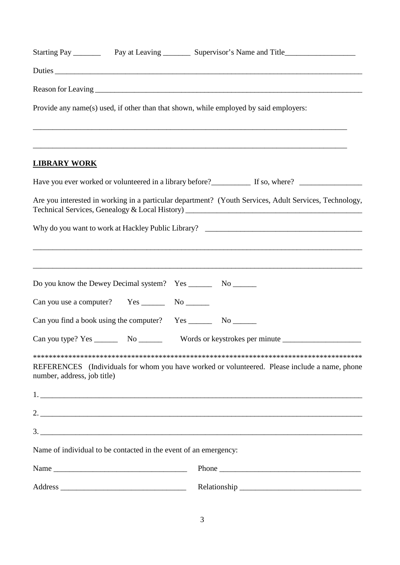|                             |                                                                        | Provide any name(s) used, if other than that shown, while employed by said employers:                                |  |  |  |
|-----------------------------|------------------------------------------------------------------------|----------------------------------------------------------------------------------------------------------------------|--|--|--|
| <b>LIBRARY WORK</b>         |                                                                        | ,我们也不能在这里的人,我们也不能在这里的人,我们也不能在这里的人,我们也不能在这里的人,我们也不能在这里的人,我们也不能在这里的人,我们也不能在这里的人,我们也                                    |  |  |  |
|                             |                                                                        | Have you ever worked or volunteered in a library before?<br>If so, where?                                            |  |  |  |
|                             |                                                                        | Are you interested in working in a particular department? (Youth Services, Adult Services, Technology,               |  |  |  |
|                             |                                                                        |                                                                                                                      |  |  |  |
|                             | Do you know the Dewey Decimal system? Yes __________ No _________      | <u> 1989 - An t-Alban an t-Alban an t-Alban an t-Alban an t-Alban an t-Alban an t-Alban an t-Alban an t-Alban an</u> |  |  |  |
|                             |                                                                        |                                                                                                                      |  |  |  |
|                             | Can you type? $Yes \_\_\_\_\_\_\_\_\_\_\_\_\_\_\_\_\_\_\_\_\_\_\_\_\_$ |                                                                                                                      |  |  |  |
| number, address, job title) |                                                                        | REFERENCES (Individuals for whom you have worked or volunteered. Please include a name, phone                        |  |  |  |
|                             |                                                                        |                                                                                                                      |  |  |  |
|                             |                                                                        |                                                                                                                      |  |  |  |
|                             |                                                                        |                                                                                                                      |  |  |  |
|                             | Name of individual to be contacted in the event of an emergency:       |                                                                                                                      |  |  |  |
|                             |                                                                        |                                                                                                                      |  |  |  |
|                             |                                                                        |                                                                                                                      |  |  |  |